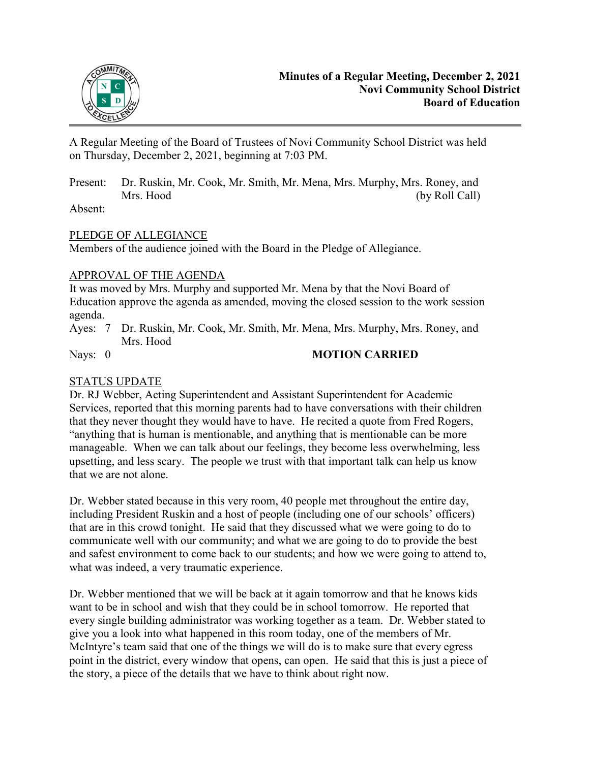

A Regular Meeting of the Board of Trustees of Novi Community School District was held on Thursday, December 2, 2021, beginning at 7:03 PM.

Present: Dr. Ruskin, Mr. Cook, Mr. Smith, Mr. Mena, Mrs. Murphy, Mrs. Roney, and Mrs. Hood (by Roll Call)

Absent:

# PLEDGE OF ALLEGIANCE

Members of the audience joined with the Board in the Pledge of Allegiance.

## APPROVAL OF THE AGENDA

It was moved by Mrs. Murphy and supported Mr. Mena by that the Novi Board of Education approve the agenda as amended, moving the closed session to the work session agenda.

Ayes: 7 Dr. Ruskin, Mr. Cook, Mr. Smith, Mr. Mena, Mrs. Murphy, Mrs. Roney, and Mrs. Hood

# Nays: 0 **MOTION CARRIED**

# STATUS UPDATE

Dr. RJ Webber, Acting Superintendent and Assistant Superintendent for Academic Services, reported that this morning parents had to have conversations with their children that they never thought they would have to have. He recited a quote from Fred Rogers, "anything that is human is mentionable, and anything that is mentionable can be more manageable. When we can talk about our feelings, they become less overwhelming, less upsetting, and less scary. The people we trust with that important talk can help us know that we are not alone.

Dr. Webber stated because in this very room, 40 people met throughout the entire day, including President Ruskin and a host of people (including one of our schools' officers) that are in this crowd tonight. He said that they discussed what we were going to do to communicate well with our community; and what we are going to do to provide the best and safest environment to come back to our students; and how we were going to attend to, what was indeed, a very traumatic experience.

Dr. Webber mentioned that we will be back at it again tomorrow and that he knows kids want to be in school and wish that they could be in school tomorrow. He reported that every single building administrator was working together as a team. Dr. Webber stated to give you a look into what happened in this room today, one of the members of Mr. McIntyre's team said that one of the things we will do is to make sure that every egress point in the district, every window that opens, can open. He said that this is just a piece of the story, a piece of the details that we have to think about right now.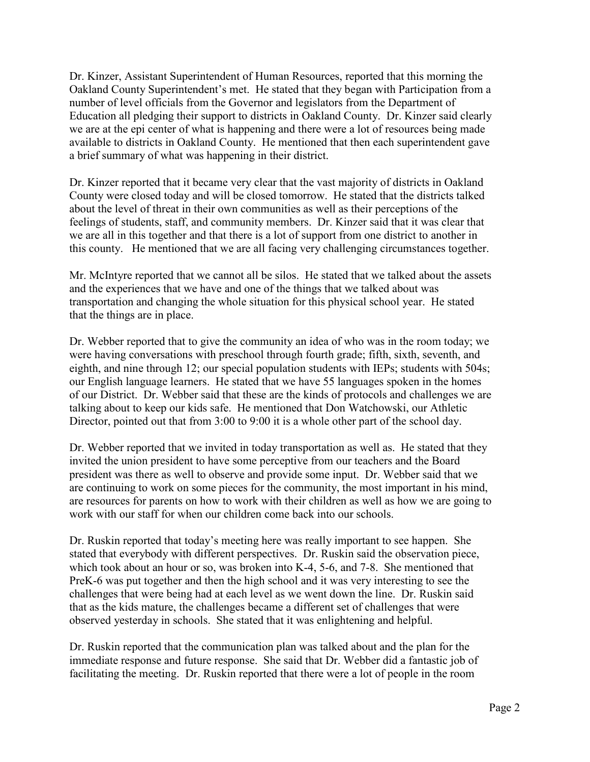Dr. Kinzer, Assistant Superintendent of Human Resources, reported that this morning the Oakland County Superintendent's met. He stated that they began with Participation from a number of level officials from the Governor and legislators from the Department of Education all pledging their support to districts in Oakland County. Dr. Kinzer said clearly we are at the epi center of what is happening and there were a lot of resources being made available to districts in Oakland County. He mentioned that then each superintendent gave a brief summary of what was happening in their district.

Dr. Kinzer reported that it became very clear that the vast majority of districts in Oakland County were closed today and will be closed tomorrow. He stated that the districts talked about the level of threat in their own communities as well as their perceptions of the feelings of students, staff, and community members. Dr. Kinzer said that it was clear that we are all in this together and that there is a lot of support from one district to another in this county. He mentioned that we are all facing very challenging circumstances together.

Mr. McIntyre reported that we cannot all be silos. He stated that we talked about the assets and the experiences that we have and one of the things that we talked about was transportation and changing the whole situation for this physical school year. He stated that the things are in place.

Dr. Webber reported that to give the community an idea of who was in the room today; we were having conversations with preschool through fourth grade; fifth, sixth, seventh, and eighth, and nine through 12; our special population students with IEPs; students with 504s; our English language learners. He stated that we have 55 languages spoken in the homes of our District. Dr. Webber said that these are the kinds of protocols and challenges we are talking about to keep our kids safe. He mentioned that Don Watchowski, our Athletic Director, pointed out that from 3:00 to 9:00 it is a whole other part of the school day.

Dr. Webber reported that we invited in today transportation as well as. He stated that they invited the union president to have some perceptive from our teachers and the Board president was there as well to observe and provide some input. Dr. Webber said that we are continuing to work on some pieces for the community, the most important in his mind, are resources for parents on how to work with their children as well as how we are going to work with our staff for when our children come back into our schools.

Dr. Ruskin reported that today's meeting here was really important to see happen. She stated that everybody with different perspectives. Dr. Ruskin said the observation piece, which took about an hour or so, was broken into K-4, 5-6, and 7-8. She mentioned that PreK-6 was put together and then the high school and it was very interesting to see the challenges that were being had at each level as we went down the line. Dr. Ruskin said that as the kids mature, the challenges became a different set of challenges that were observed yesterday in schools. She stated that it was enlightening and helpful.

Dr. Ruskin reported that the communication plan was talked about and the plan for the immediate response and future response. She said that Dr. Webber did a fantastic job of facilitating the meeting. Dr. Ruskin reported that there were a lot of people in the room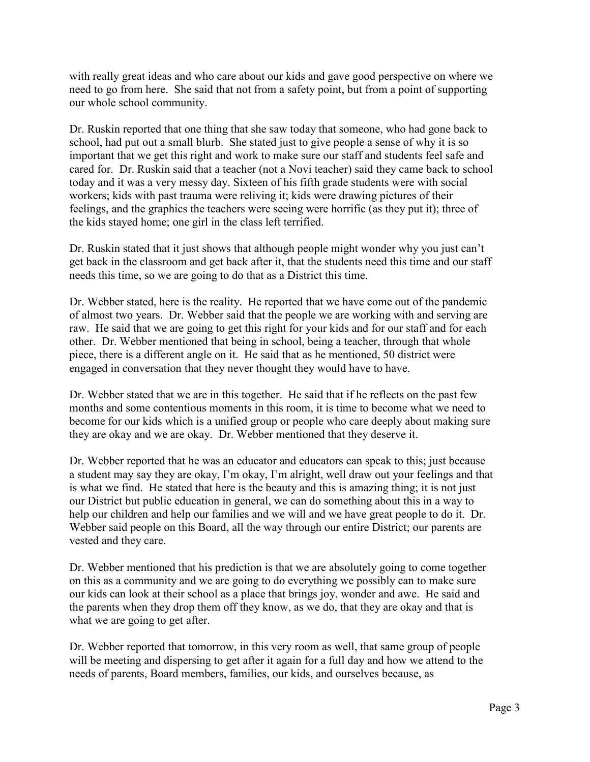with really great ideas and who care about our kids and gave good perspective on where we need to go from here. She said that not from a safety point, but from a point of supporting our whole school community.

Dr. Ruskin reported that one thing that she saw today that someone, who had gone back to school, had put out a small blurb. She stated just to give people a sense of why it is so important that we get this right and work to make sure our staff and students feel safe and cared for. Dr. Ruskin said that a teacher (not a Novi teacher) said they came back to school today and it was a very messy day. Sixteen of his fifth grade students were with social workers; kids with past trauma were reliving it; kids were drawing pictures of their feelings, and the graphics the teachers were seeing were horrific (as they put it); three of the kids stayed home; one girl in the class left terrified.

Dr. Ruskin stated that it just shows that although people might wonder why you just can't get back in the classroom and get back after it, that the students need this time and our staff needs this time, so we are going to do that as a District this time.

Dr. Webber stated, here is the reality. He reported that we have come out of the pandemic of almost two years. Dr. Webber said that the people we are working with and serving are raw. He said that we are going to get this right for your kids and for our staff and for each other. Dr. Webber mentioned that being in school, being a teacher, through that whole piece, there is a different angle on it. He said that as he mentioned, 50 district were engaged in conversation that they never thought they would have to have.

Dr. Webber stated that we are in this together. He said that if he reflects on the past few months and some contentious moments in this room, it is time to become what we need to become for our kids which is a unified group or people who care deeply about making sure they are okay and we are okay. Dr. Webber mentioned that they deserve it.

Dr. Webber reported that he was an educator and educators can speak to this; just because a student may say they are okay, I'm okay, I'm alright, well draw out your feelings and that is what we find. He stated that here is the beauty and this is amazing thing; it is not just our District but public education in general, we can do something about this in a way to help our children and help our families and we will and we have great people to do it. Dr. Webber said people on this Board, all the way through our entire District; our parents are vested and they care.

Dr. Webber mentioned that his prediction is that we are absolutely going to come together on this as a community and we are going to do everything we possibly can to make sure our kids can look at their school as a place that brings joy, wonder and awe. He said and the parents when they drop them off they know, as we do, that they are okay and that is what we are going to get after.

Dr. Webber reported that tomorrow, in this very room as well, that same group of people will be meeting and dispersing to get after it again for a full day and how we attend to the needs of parents, Board members, families, our kids, and ourselves because, as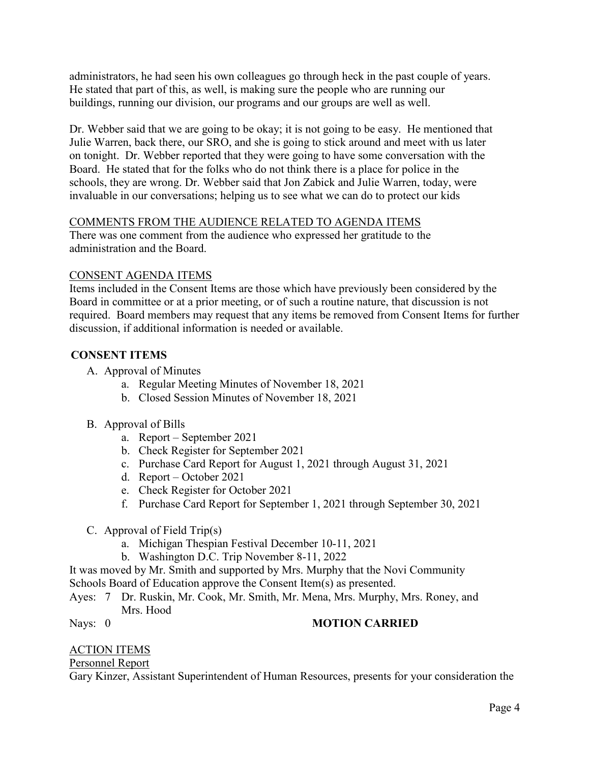administrators, he had seen his own colleagues go through heck in the past couple of years. He stated that part of this, as well, is making sure the people who are running our buildings, running our division, our programs and our groups are well as well.

Dr. Webber said that we are going to be okay; it is not going to be easy. He mentioned that Julie Warren, back there, our SRO, and she is going to stick around and meet with us later on tonight. Dr. Webber reported that they were going to have some conversation with the Board. He stated that for the folks who do not think there is a place for police in the schools, they are wrong. Dr. Webber said that Jon Zabick and Julie Warren, today, were invaluable in our conversations; helping us to see what we can do to protect our kids

### COMMENTS FROM THE AUDIENCE RELATED TO AGENDA ITEMS

There was one comment from the audience who expressed her gratitude to the administration and the Board.

### CONSENT AGENDA ITEMS

Items included in the Consent Items are those which have previously been considered by the Board in committee or at a prior meeting, or of such a routine nature, that discussion is not required. Board members may request that any items be removed from Consent Items for further discussion, if additional information is needed or available.

# **CONSENT ITEMS**

A. Approval of Minutes

- a. Regular Meeting Minutes of November 18, 2021
- b. Closed Session Minutes of November 18, 2021
- B. Approval of Bills
	- a. Report September 2021
	- b. Check Register for September 2021
	- c. Purchase Card Report for August 1, 2021 through August 31, 2021
	- d. Report October 2021
	- e. Check Register for October 2021
	- f. Purchase Card Report for September 1, 2021 through September 30, 2021
- C. Approval of Field Trip(s)
	- a. Michigan Thespian Festival December 10-11, 2021
	- b. Washington D.C. Trip November 8-11, 2022

It was moved by Mr. Smith and supported by Mrs. Murphy that the Novi Community

Schools Board of Education approve the Consent Item(s) as presented.

Ayes: 7 Dr. Ruskin, Mr. Cook, Mr. Smith, Mr. Mena, Mrs. Murphy, Mrs. Roney, and Mrs. Hood

### Nays: 0 **MOTION CARRIED**

# ACTION ITEMS

Personnel Report

Gary Kinzer, Assistant Superintendent of Human Resources, presents for your consideration the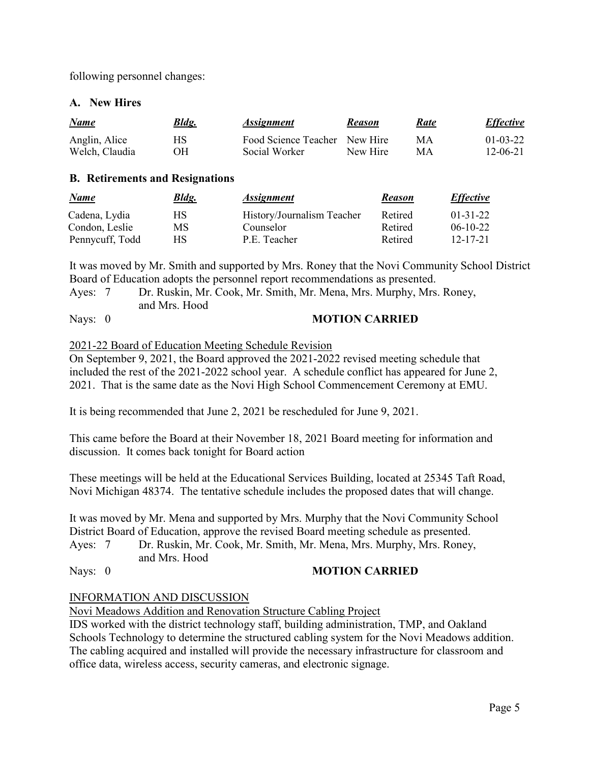following personnel changes:

### **A. New Hires**

| <b>Name</b>    | <b>Bldg.</b> | <i><b>Assignment</b></i>      | <b>Reason</b> | Rate | <i>Effective</i> |
|----------------|--------------|-------------------------------|---------------|------|------------------|
| Anglin, Alice  | НS           | Food Science Teacher New Hire |               | МA   | $01 - 03 - 22$   |
| Welch, Claudia | ЭH           | Social Worker                 | New Hire      | MА   | 12-06-21         |

#### **B. Retirements and Resignations**

| <u>Name</u>     | <b>Bldg.</b> | <i><b>Assignment</b></i>   | <b>Reason</b> | <b>Effective</b> |
|-----------------|--------------|----------------------------|---------------|------------------|
| Cadena, Lydia   | НS           | History/Journalism Teacher | Retired       | $01-31-22$       |
| Condon, Leslie  | MS           | Counselor                  | Retired       | $06-10-22$       |
| Pennycuff, Todd | НS           | P.E. Teacher               | Retired       | 12-17-21         |

It was moved by Mr. Smith and supported by Mrs. Roney that the Novi Community School District Board of Education adopts the personnel report recommendations as presented.

| Ayes: 7      | Dr. Ruskin, Mr. Cook, Mr. Smith, Mr. Mena, Mrs. Murphy, Mrs. Roney, |
|--------------|---------------------------------------------------------------------|
|              | and Mrs. Hood                                                       |
| $\mathbf{r}$ | $\mathbf{1}$ formal $\alpha$ in primer                              |

#### Nays: 0 **MOTION CARRIED**

#### 2021-22 Board of Education Meeting Schedule Revision

On September 9, 2021, the Board approved the 2021-2022 revised meeting schedule that included the rest of the 2021-2022 school year. A schedule conflict has appeared for June 2, 2021. That is the same date as the Novi High School Commencement Ceremony at EMU.

It is being recommended that June 2, 2021 be rescheduled for June 9, 2021.

This came before the Board at their November 18, 2021 Board meeting for information and discussion. It comes back tonight for Board action

These meetings will be held at the Educational Services Building, located at 25345 Taft Road, Novi Michigan 48374. The tentative schedule includes the proposed dates that will change.

It was moved by Mr. Mena and supported by Mrs. Murphy that the Novi Community School District Board of Education, approve the revised Board meeting schedule as presented.

Ayes: 7 Dr. Ruskin, Mr. Cook, Mr. Smith, Mr. Mena, Mrs. Murphy, Mrs. Roney, and Mrs. Hood

# Nays: 0 **MOTION CARRIED**

### INFORMATION AND DISCUSSION

Novi Meadows Addition and Renovation Structure Cabling Project

IDS worked with the district technology staff, building administration, TMP, and Oakland Schools Technology to determine the structured cabling system for the Novi Meadows addition. The cabling acquired and installed will provide the necessary infrastructure for classroom and office data, wireless access, security cameras, and electronic signage.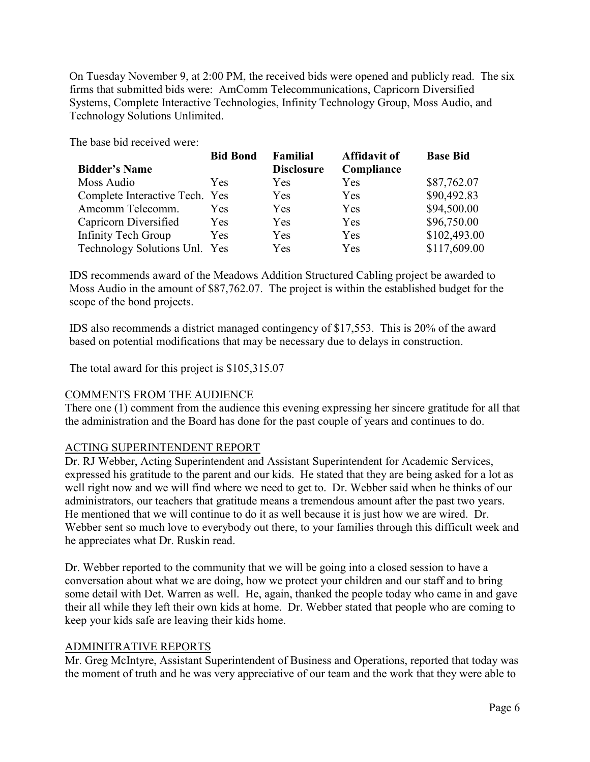On Tuesday November 9, at 2:00 PM, the received bids were opened and publicly read. The six firms that submitted bids were: AmComm Telecommunications, Capricorn Diversified Systems, Complete Interactive Technologies, Infinity Technology Group, Moss Audio, and Technology Solutions Unlimited.

The base bid received were:

|                                | <b>Bid Bond</b> | <b>Familial</b>   | <b>Affidavit of</b> | <b>Base Bid</b> |
|--------------------------------|-----------------|-------------------|---------------------|-----------------|
| <b>Bidder's Name</b>           |                 | <b>Disclosure</b> | Compliance          |                 |
| Moss Audio                     | Yes.            | Yes               | <b>Yes</b>          | \$87,762.07     |
| Complete Interactive Tech. Yes |                 | Yes               | Yes                 | \$90,492.83     |
| Amcomm Telecomm.               | Yes.            | Yes               | <b>Yes</b>          | \$94,500.00     |
| Capricorn Diversified          | <b>Yes</b>      | Yes               | Yes                 | \$96,750.00     |
| <b>Infinity Tech Group</b>     | Yes             | Yes               | Yes                 | \$102,493.00    |
| Technology Solutions Unl. Yes  |                 | Yes               | Yes                 | \$117,609.00    |

IDS recommends award of the Meadows Addition Structured Cabling project be awarded to Moss Audio in the amount of \$87,762.07. The project is within the established budget for the scope of the bond projects.

IDS also recommends a district managed contingency of \$17,553. This is 20% of the award based on potential modifications that may be necessary due to delays in construction.

The total award for this project is \$105,315.07

# COMMENTS FROM THE AUDIENCE

There one (1) comment from the audience this evening expressing her sincere gratitude for all that the administration and the Board has done for the past couple of years and continues to do.

# ACTING SUPERINTENDENT REPORT

Dr. RJ Webber, Acting Superintendent and Assistant Superintendent for Academic Services, expressed his gratitude to the parent and our kids. He stated that they are being asked for a lot as well right now and we will find where we need to get to. Dr. Webber said when he thinks of our administrators, our teachers that gratitude means a tremendous amount after the past two years. He mentioned that we will continue to do it as well because it is just how we are wired. Dr. Webber sent so much love to everybody out there, to your families through this difficult week and he appreciates what Dr. Ruskin read.

Dr. Webber reported to the community that we will be going into a closed session to have a conversation about what we are doing, how we protect your children and our staff and to bring some detail with Det. Warren as well. He, again, thanked the people today who came in and gave their all while they left their own kids at home. Dr. Webber stated that people who are coming to keep your kids safe are leaving their kids home.

# ADMINITRATIVE REPORTS

Mr. Greg McIntyre, Assistant Superintendent of Business and Operations, reported that today was the moment of truth and he was very appreciative of our team and the work that they were able to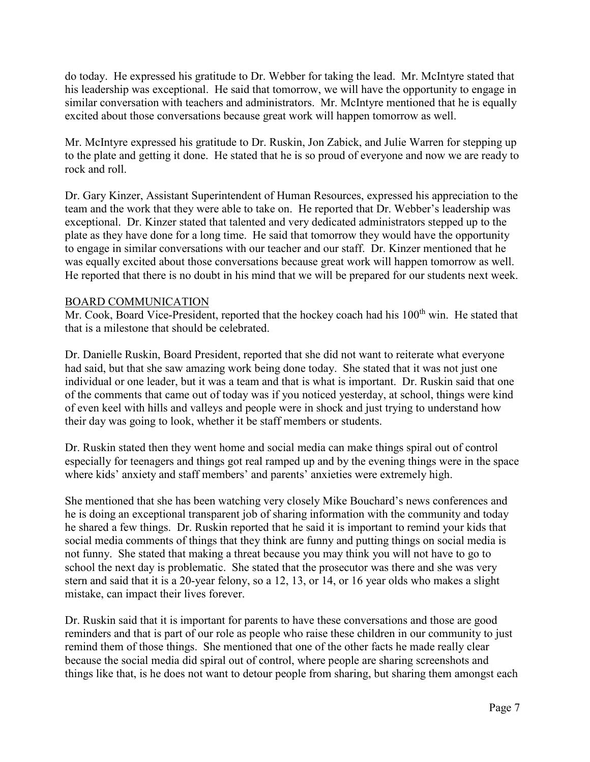do today. He expressed his gratitude to Dr. Webber for taking the lead. Mr. McIntyre stated that his leadership was exceptional. He said that tomorrow, we will have the opportunity to engage in similar conversation with teachers and administrators. Mr. McIntyre mentioned that he is equally excited about those conversations because great work will happen tomorrow as well.

Mr. McIntyre expressed his gratitude to Dr. Ruskin, Jon Zabick, and Julie Warren for stepping up to the plate and getting it done. He stated that he is so proud of everyone and now we are ready to rock and roll.

Dr. Gary Kinzer, Assistant Superintendent of Human Resources, expressed his appreciation to the team and the work that they were able to take on. He reported that Dr. Webber's leadership was exceptional. Dr. Kinzer stated that talented and very dedicated administrators stepped up to the plate as they have done for a long time. He said that tomorrow they would have the opportunity to engage in similar conversations with our teacher and our staff. Dr. Kinzer mentioned that he was equally excited about those conversations because great work will happen tomorrow as well. He reported that there is no doubt in his mind that we will be prepared for our students next week.

## BOARD COMMUNICATION

Mr. Cook, Board Vice-President, reported that the hockey coach had his  $100<sup>th</sup>$  win. He stated that that is a milestone that should be celebrated.

Dr. Danielle Ruskin, Board President, reported that she did not want to reiterate what everyone had said, but that she saw amazing work being done today. She stated that it was not just one individual or one leader, but it was a team and that is what is important. Dr. Ruskin said that one of the comments that came out of today was if you noticed yesterday, at school, things were kind of even keel with hills and valleys and people were in shock and just trying to understand how their day was going to look, whether it be staff members or students.

Dr. Ruskin stated then they went home and social media can make things spiral out of control especially for teenagers and things got real ramped up and by the evening things were in the space where kids' anxiety and staff members' and parents' anxieties were extremely high.

She mentioned that she has been watching very closely Mike Bouchard's news conferences and he is doing an exceptional transparent job of sharing information with the community and today he shared a few things. Dr. Ruskin reported that he said it is important to remind your kids that social media comments of things that they think are funny and putting things on social media is not funny. She stated that making a threat because you may think you will not have to go to school the next day is problematic. She stated that the prosecutor was there and she was very stern and said that it is a 20-year felony, so a 12, 13, or 14, or 16 year olds who makes a slight mistake, can impact their lives forever.

Dr. Ruskin said that it is important for parents to have these conversations and those are good reminders and that is part of our role as people who raise these children in our community to just remind them of those things. She mentioned that one of the other facts he made really clear because the social media did spiral out of control, where people are sharing screenshots and things like that, is he does not want to detour people from sharing, but sharing them amongst each